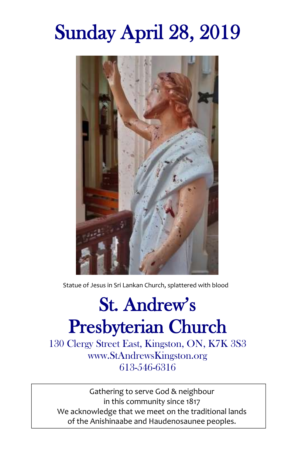# Sunday April 28, 2019



Statue of Jesus in Sri Lankan Church, splattered with blood

## St. Andrew's Presbyterian Church

130 Clergy Street East, Kingston, ON, K7K 3S3 www.StAndrewsKingston.org 613-546-6316

Gathering to serve God & neighbour in this community since 1817 We acknowledge that we meet on the traditional lands of the Anishinaabe and Haudenosaunee peoples.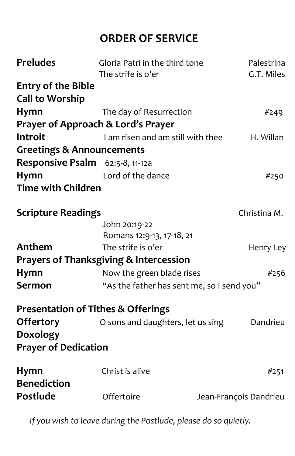## **ORDER OF SERVICE**

| Gloria Patri in the third tone                    | Palestrina                                                       |
|---------------------------------------------------|------------------------------------------------------------------|
|                                                   | G.T. Miles                                                       |
|                                                   |                                                                  |
|                                                   |                                                                  |
| The day of Resurrection                           | #249                                                             |
| Prayer of Approach & Lord's Prayer                |                                                                  |
| I am risen and am still with thee                 | H. Willan                                                        |
| <b>Greetings &amp; Announcements</b>              |                                                                  |
| Responsive Psalm 62:5-8, 11-12a                   |                                                                  |
| Lord of the dance                                 | #250                                                             |
| <b>Time with Children</b>                         |                                                                  |
| <b>Scripture Readings</b>                         | Christina M.                                                     |
| John 20:19-22                                     |                                                                  |
| Romans 12:9-13, 17-18, 21                         |                                                                  |
| The strife is o'er                                | Henry Ley                                                        |
| <b>Prayers of Thanksgiving &amp; Intercession</b> |                                                                  |
| Now the green blade rises                         | #256                                                             |
|                                                   |                                                                  |
| <b>Presentation of Tithes &amp; Offerings</b>     |                                                                  |
| O sons and daughters, let us sing                 | Dandrieu                                                         |
|                                                   |                                                                  |
| <b>Prayer of Dedication</b>                       |                                                                  |
| Christ is alive                                   | #251                                                             |
| Offertoire                                        | Jean-François Dandrieu                                           |
|                                                   | The strife is o'er<br>"As the father has sent me, so I send you" |

*If you wish to leave during the Postlude, please do so quietly.*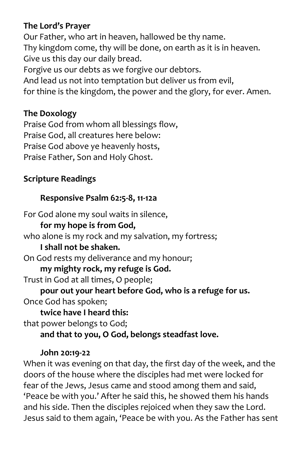#### **The Lord's Prayer**

Our Father, who art in heaven, hallowed be thy name. Thy kingdom come, thy will be done, on earth as it is in heaven. Give us this day our daily bread. Forgive us our debts as we forgive our debtors. And lead us not into temptation but deliver us from evil, for thine is the kingdom, the power and the glory, for ever. Amen.

#### **The Doxology**

Praise God from whom all blessings flow, Praise God, all creatures here below: Praise God above ye heavenly hosts, Praise Father, Son and Holy Ghost.

### **Scripture Readings**

#### **Responsive Psalm 62:5-8, 11-12a**

For God alone my soul waits in silence,

### **for my hope is from God,**

who alone is my rock and my salvation, my fortress;

#### **I shall not be shaken.**

On God rests my deliverance and my honour;

**my mighty rock, my refuge is God.**

Trust in God at all times, O people;

**pour out your heart before God, who is a refuge for us.**  Once God has spoken;

**twice have I heard this:** 

that power belongs to God;

**and that to you, O God, belongs steadfast love.** 

#### **John 20:19-22**

When it was evening on that day, the first day of the week, and the doors of the house where the disciples had met were locked for fear of the Jews, Jesus came and stood among them and said, 'Peace be with you.' After he said this, he showed them his hands and his side. Then the disciples rejoiced when they saw the Lord. Jesus said to them again, 'Peace be with you. As the Father has sent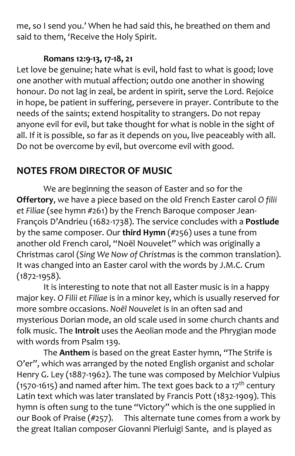me, so I send you.' When he had said this, he breathed on them and said to them, 'Receive the Holy Spirit.

#### **Romans 12:9-13, 17-18, 21**

Let love be genuine; hate what is evil, hold fast to what is good; love one another with mutual affection; outdo one another in showing honour. Do not lag in zeal, be ardent in spirit, serve the Lord. Rejoice in hope, be patient in suffering, persevere in prayer. Contribute to the needs of the saints; extend hospitality to strangers. Do not repay anyone evil for evil, but take thought for what is noble in the sight of all. If it is possible, so far as it depends on you, live peaceably with all. Do not be overcome by evil, but overcome evil with good.

## **NOTES FROM DIRECTOR OF MUSIC**

We are beginning the season of Easter and so for the **Offertory**, we have a piece based on the old French Easter carol *O filii et Filiae* (see hymn #261) by the French Baroque composer Jean-François D'Andrieu (1682-1738). The service concludes with a **Postlude** by the same composer. Our **third Hymn** (#256) uses a tune from another old French carol, "Noël Nouvelet" which was originally a Christmas carol (*Sing We Now of Christmas* is the common translation). It was changed into an Easter carol with the words by J.M.C. Crum (1872-1958).

It is interesting to note that not all Easter music is in a happy major key. *O Filii et Filiae* is in a minor key, which is usually reserved for more sombre occasions. *Noël Nouvelet* is in an often sad and mysterious Dorian mode, an old scale used in some church chants and folk music. The **Introit** uses the Aeolian mode and the Phrygian mode with words from Psalm 139.

The **Anthem** is based on the great Easter hymn, "The Strife is O'er", which was arranged by the noted English organist and scholar Henry G. Ley (1887-1962). The tune was composed by Melchior Vulpius (1570-1615) and named after him. The text goes back to a 17<sup>th</sup> century Latin text which was later translated by Francis Pott (1832-1909). This hymn is often sung to the tune "Victory" which is the one supplied in our Book of Praise (#257). This alternate tune comes from a work by the great Italian composer Giovanni Pierluigi Sante, and is played as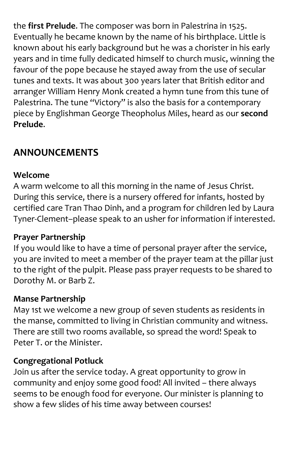the **first Prelude**. The composer was born in Palestrina in 1525. Eventually he became known by the name of his birthplace. Little is known about his early background but he was a chorister in his early years and in time fully dedicated himself to church music, winning the favour of the pope because he stayed away from the use of secular tunes and texts. It was about 300 years later that British editor and arranger William Henry Monk created a hymn tune from this tune of Palestrina. The tune "Victory" is also the basis for a contemporary piece by Englishman George Theopholus Miles, heard as our **second Prelude**.

## **ANNOUNCEMENTS**

#### **Welcome**

A warm welcome to all this morning in the name of Jesus Christ. During this service, there is a nursery offered for infants, hosted by certified care Tran Thao Dinh, and a program for children led by Laura Tyner-Clement–please speak to an usher for information if interested.

#### **Prayer Partnership**

If you would like to have a time of personal prayer after the service, you are invited to meet a member of the prayer team at the pillar just to the right of the pulpit. Please pass prayer requests to be shared to Dorothy M. or Barb Z.

#### **Manse Partnership**

May 1st we welcome a new group of seven students as residents in the manse, committed to living in Christian community and witness. There are still two rooms available, so spread the word! Speak to Peter T. or the Minister.

#### **Congregational Potluck**

Join us after the service today. A great opportunity to grow in community and enjoy some good food! All invited – there always seems to be enough food for everyone. Our minister is planning to show a few slides of his time away between courses!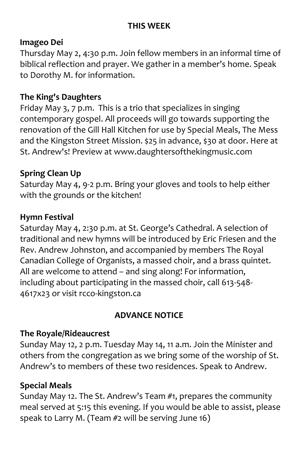#### **THIS WEEK**

#### **Imageo Dei**

Thursday May 2, 4:30 p.m. Join fellow members in an informal time of biblical reflection and prayer. We gather in a member's home. Speak to Dorothy M. for information.

#### **The King's Daughters**

Friday May 3, 7 p.m. This is a trio that specializes in singing contemporary gospel. All proceeds will go towards supporting the renovation of the Gill Hall Kitchen for use by Special Meals, The Mess and the Kingston Street Mission. \$25 in advance, \$30 at door. Here at St. Andrew's! Preview at [www.daughtersofthekingmusic.com](http://www.daughtersofthekingmusic.com/)

#### **Spring Clean Up**

Saturday May 4, 9-2 p.m. Bring your gloves and tools to help either with the grounds or the kitchen!

#### **Hymn Festival**

Saturday May 4, 2:30 p.m. at St. George's Cathedral. A selection of traditional and new hymns will be introduced by Eric Friesen and the Rev. Andrew Johnston, and accompanied by members The Royal Canadian College of Organists, a massed choir, and a brass quintet. All are welcome to attend – and sing along! For information, including about participating in the massed choir, call 613-548- 4617x23 or visit rcco-kingston.ca

#### **ADVANCE NOTICE**

#### **The Royale/Rideaucrest**

Sunday May 12, 2 p.m. Tuesday May 14, 11 a.m. Join the Minister and others from the congregation as we bring some of the worship of St. Andrew's to members of these two residences. Speak to Andrew.

#### **Special Meals**

Sunday May 12. The St. Andrew's Team #1, prepares the community meal served at 5:15 this evening. If you would be able to assist, please speak to Larry M. (Team #2 will be serving June 16)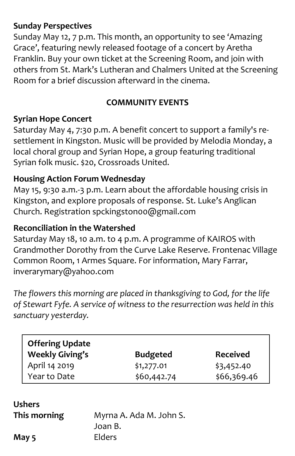#### **Sunday Perspectives**

Sunday May 12, 7 p.m. This month, an opportunity to see 'Amazing Grace', featuring newly released footage of a concert by Aretha Franklin. Buy your own ticket at the Screening Room, and join with others from St. Mark's Lutheran and Chalmers United at the Screening Room for a brief discussion afterward in the cinema.

#### **COMMUNITY EVENTS**

#### **Syrian Hope Concert**

Saturday May 4, 7:30 p.m. A benefit concert to support a family's resettlement in Kingston. Music will be provided by Melodia Monday, a local choral group and Syrian Hope, a group featuring traditional Syrian folk music. \$20, Crossroads United.

#### **Housing Action Forum Wednesday**

May 15, 9:30 a.m.-3 p.m. Learn about the affordable housing crisis in Kingston, and explore proposals of response. St. Luke's Anglican Church. Registration [spckingston00@gmail.com](mailto:spckingston00@gmail.com)

#### **Reconciliation in the Watershed**

Saturday May 18, 10 a.m. to 4 p.m. A programme of KAIROS with Grandmother Dorothy from the Curve Lake Reserve. Frontenac Village Common Room, 1 Armes Square. For information, Mary Farrar, inverarymary@yahoo.com

*The flowers this morning are placed in thanksgiving to God, for the life of Stewart Fyfe. A service of witness to the resurrection was held in this sanctuary yesterday.* 

| <b>Offering Update</b><br><b>Weekly Giving's</b> | <b>Budgeted</b> | <b>Received</b> |
|--------------------------------------------------|-----------------|-----------------|
| April 14 2019                                    | \$1,277.01      | \$3,452.40      |
| Year to Date                                     | \$60,442.74     | \$66,369.46     |

| <b>Ushers</b> |              |  |
|---------------|--------------|--|
|               | This morning |  |

**This morning** Myrna A. Ada M. John S. Joan B. **May 5** Elders